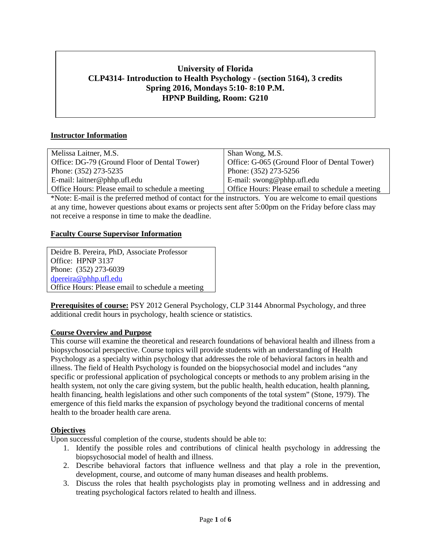# **University of Florida CLP4314- Introduction to Health Psychology - (section 5164), 3 credits Spring 2016, Mondays 5:10- 8:10 P.M. HPNP Building, Room: G210**

# **Instructor Information**

| Melissa Laitner, M.S.                            | Shan Wong, M.S.                                  |
|--------------------------------------------------|--------------------------------------------------|
| Office: DG-79 (Ground Floor of Dental Tower)     | Office: G-065 (Ground Floor of Dental Tower)     |
| Phone: (352) 273-5235                            | Phone: (352) 273-5256                            |
| E-mail: $l$ aitner@phhp.ufl.edu                  | E-mail: swong@phhp.ufl.edu                       |
| Office Hours: Please email to schedule a meeting | Office Hours: Please email to schedule a meeting |

\*Note: E-mail is the preferred method of contact for the instructors. You are welcome to email questions at any time, however questions about exams or projects sent after 5:00pm on the Friday before class may not receive a response in time to make the deadline.

#### **Faculty Course Supervisor Information**

Deidre B. Pereira, PhD, Associate Professor Office: HPNP 3137 Phone: (352) 273-6039 [dpereira@phhp.ufl.edu](mailto:dpereira@phhp.ufl.edu) Office Hours: Please email to schedule a meeting

**Prerequisites of course:** PSY 2012 General Psychology, CLP 3144 Abnormal Psychology, and three additional credit hours in psychology, health science or statistics.

#### **Course Overview and Purpose**

This course will examine the theoretical and research foundations of behavioral health and illness from a biopsychosocial perspective. Course topics will provide students with an understanding of Health Psychology as a specialty within psychology that addresses the role of behavioral factors in health and illness. The field of Health Psychology is founded on the biopsychosocial model and includes "any specific or professional application of psychological concepts or methods to any problem arising in the health system, not only the care giving system, but the public health, health education, health planning, health financing, health legislations and other such components of the total system" (Stone, 1979). The emergence of this field marks the expansion of psychology beyond the traditional concerns of mental health to the broader health care arena.

#### **Objectives**

Upon successful completion of the course, students should be able to:

- 1. Identify the possible roles and contributions of clinical health psychology in addressing the biopsychosocial model of health and illness.
- 2. Describe behavioral factors that influence wellness and that play a role in the prevention, development, course, and outcome of many human diseases and health problems.
- 3. Discuss the roles that health psychologists play in promoting wellness and in addressing and treating psychological factors related to health and illness.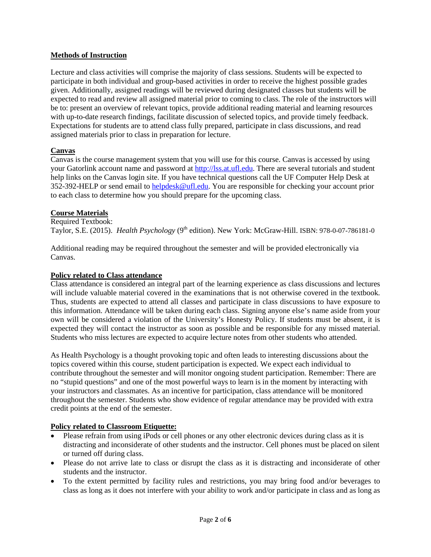#### **Methods of Instruction**

Lecture and class activities will comprise the majority of class sessions. Students will be expected to participate in both individual and group-based activities in order to receive the highest possible grades given. Additionally, assigned readings will be reviewed during designated classes but students will be expected to read and review all assigned material prior to coming to class. The role of the instructors will be to: present an overview of relevant topics, provide additional reading material and learning resources with up-to-date research findings, facilitate discussion of selected topics, and provide timely feedback. Expectations for students are to attend class fully prepared, participate in class discussions, and read assigned materials prior to class in preparation for lecture.

#### **Canvas**

Canvas is the course management system that you will use for this course. Canvas is accessed by using your Gatorlink account name and password at [http://lss.at.ufl.edu.](http://lss.at.ufl.edu/) There are several tutorials and student help links on the Canvas login site. If you have technical questions call the UF Computer Help Desk at 352-392-HELP or send email to [helpdesk@ufl.edu.](mailto:helpdesk@ufl.edu) You are responsible for checking your account prior to each class to determine how you should prepare for the upcoming class.

#### **Course Materials**

Required Textbook: Taylor, S.E. (2015). *Health Psychology* (9th edition). New York: McGraw-Hill. ISBN: 978-0-07-786181-0

Additional reading may be required throughout the semester and will be provided electronically via Canvas.

#### **Policy related to Class attendance**

Class attendance is considered an integral part of the learning experience as class discussions and lectures will include valuable material covered in the examinations that is not otherwise covered in the textbook. Thus, students are expected to attend all classes and participate in class discussions to have exposure to this information. Attendance will be taken during each class. Signing anyone else's name aside from your own will be considered a violation of the University's Honesty Policy. If students must be absent, it is expected they will contact the instructor as soon as possible and be responsible for any missed material. Students who miss lectures are expected to acquire lecture notes from other students who attended.

As Health Psychology is a thought provoking topic and often leads to interesting discussions about the topics covered within this course, student participation is expected. We expect each individual to contribute throughout the semester and will monitor ongoing student participation. Remember: There are no "stupid questions" and one of the most powerful ways to learn is in the moment by interacting with your instructors and classmates. As an incentive for participation, class attendance will be monitored throughout the semester. Students who show evidence of regular attendance may be provided with extra credit points at the end of the semester.

#### **Policy related to Classroom Etiquette:**

- Please refrain from using iPods or cell phones or any other electronic devices during class as it is distracting and inconsiderate of other students and the instructor. Cell phones must be placed on silent or turned off during class.
- Please do not arrive late to class or disrupt the class as it is distracting and inconsiderate of other students and the instructor.
- To the extent permitted by facility rules and restrictions, you may bring food and/or beverages to class as long as it does not interfere with your ability to work and/or participate in class and as long as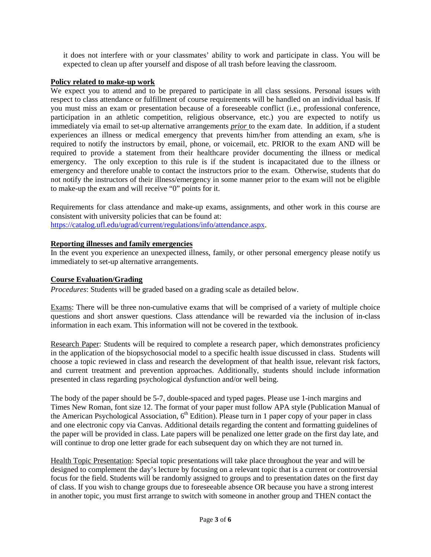it does not interfere with or your classmates' ability to work and participate in class. You will be expected to clean up after yourself and dispose of all trash before leaving the classroom.

### **Policy related to make-up work**

We expect you to attend and to be prepared to participate in all class sessions. Personal issues with respect to class attendance or fulfillment of course requirements will be handled on an individual basis. If you must miss an exam or presentation because of a foreseeable conflict (i.e., professional conference, participation in an athletic competition, religious observance, etc.) you are expected to notify us immediately via email to set-up alternative arrangements *prior* to the exam date. In addition, if a student experiences an illness or medical emergency that prevents him/her from attending an exam, s/he is required to notify the instructors by email, phone, or voicemail, etc. PRIOR to the exam AND will be required to provide a statement from their healthcare provider documenting the illness or medical emergency. The only exception to this rule is if the student is incapacitated due to the illness or emergency and therefore unable to contact the instructors prior to the exam. Otherwise, students that do not notify the instructors of their illness/emergency in some manner prior to the exam will not be eligible to make-up the exam and will receive "0" points for it.

Requirements for class attendance and make-up exams, assignments, and other work in this course are consistent with university policies that can be found at: [https://catalog.ufl.edu/ugrad/current/regulations/info/attendance.aspx.](https://catalog.ufl.edu/ugrad/current/regulations/info/attendance.aspx)

#### **Reporting illnesses and family emergencies**

In the event you experience an unexpected illness, family, or other personal emergency please notify us immediately to set-up alternative arrangements.

#### **Course Evaluation/Grading**

*Procedures*: Students will be graded based on a grading scale as detailed below.

Exams: There will be three non-cumulative exams that will be comprised of a variety of multiple choice questions and short answer questions. Class attendance will be rewarded via the inclusion of in-class information in each exam. This information will not be covered in the textbook.

Research Paper: Students will be required to complete a research paper, which demonstrates proficiency in the application of the biopsychosocial model to a specific health issue discussed in class. Students will choose a topic reviewed in class and research the development of that health issue, relevant risk factors, and current treatment and prevention approaches. Additionally, students should include information presented in class regarding psychological dysfunction and/or well being.

The body of the paper should be 5-7, double-spaced and typed pages. Please use 1-inch margins and Times New Roman, font size 12. The format of your paper must follow APA style (Publication Manual of the American Psychological Association, 6<sup>th</sup> Edition). Please turn in 1 paper copy of your paper in class and one electronic copy via Canvas. Additional details regarding the content and formatting guidelines of the paper will be provided in class. Late papers will be penalized one letter grade on the first day late, and will continue to drop one letter grade for each subsequent day on which they are not turned in.

Health Topic Presentation: Special topic presentations will take place throughout the year and will be designed to complement the day's lecture by focusing on a relevant topic that is a current or controversial focus for the field. Students will be randomly assigned to groups and to presentation dates on the first day of class. If you wish to change groups due to foreseeable absence OR because you have a strong interest in another topic, you must first arrange to switch with someone in another group and THEN contact the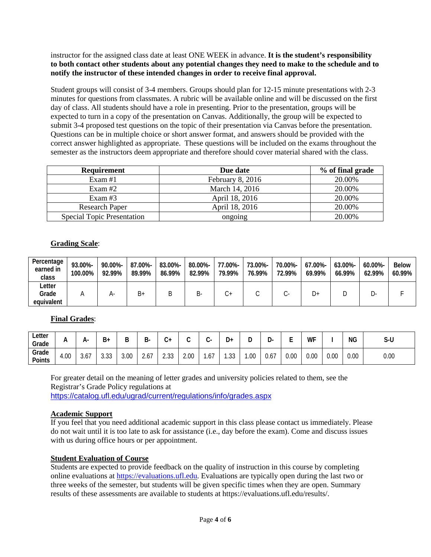instructor for the assigned class date at least ONE WEEK in advance. **It is the student's responsibility to both contact other students about any potential changes they need to make to the schedule and to notify the instructor of these intended changes in order to receive final approval.**

Student groups will consist of 3-4 members. Groups should plan for 12-15 minute presentations with 2-3 minutes for questions from classmates. A rubric will be available online and will be discussed on the first day of class. All students should have a role in presenting. Prior to the presentation, groups will be expected to turn in a copy of the presentation on Canvas. Additionally, the group will be expected to submit 3-4 proposed test questions on the topic of their presentation via Canvas before the presentation. Questions can be in multiple choice or short answer format, and answers should be provided with the correct answer highlighted as appropriate. These questions will be included on the exams throughout the semester as the instructors deem appropriate and therefore should cover material shared with the class.

| <b>Requirement</b>                | Due date         | % of final grade |
|-----------------------------------|------------------|------------------|
| Exam $#1$                         | February 8, 2016 | 20.00%           |
| Exam#2                            | March 14, 2016   | 20.00%           |
| Exam $#3$                         | April 18, 2016   | 20.00%           |
| <b>Research Paper</b>             | April 18, 2016   | 20.00%           |
| <b>Special Topic Presentation</b> | ongoing          | 20.00%           |

# **Grading Scale**:

| Percentage<br>earned in<br>class | 93.00%-<br>100.00% | 90.00%-<br>92.99% | 87.00%-<br>89.99% | 83.00%-<br>86.99% | 80.00%-<br>82.99% | 77.00%-<br>79.99% | 73.00%-<br>76.99% | 70.00%-<br>72.99% | 67.00%-<br>69.99% | $63.00\%$ -<br>66.99% | $60.00\%$ -<br>62.99% | <b>Below</b><br>60.99% |
|----------------------------------|--------------------|-------------------|-------------------|-------------------|-------------------|-------------------|-------------------|-------------------|-------------------|-----------------------|-----------------------|------------------------|
| ∟etter                           |                    |                   |                   |                   |                   |                   |                   |                   |                   |                       |                       |                        |
| Grade<br>equivalent              |                    | $H^-$             | B+                | Β                 | D-                |                   |                   |                   | D+                |                       | _ບ-                   |                        |

# **Final Grades**:

| ∟etter<br>Grade | n.   | А-       | B+                       | D    | D.   | ⌒<br>v+      | ⌒    | ◠                                | D۰             | -<br>∼ | ר<br>יע | -<br>- | WF   |      | ΝG   | S-U  |
|-----------------|------|----------|--------------------------|------|------|--------------|------|----------------------------------|----------------|--------|---------|--------|------|------|------|------|
| Grade<br>Points | 4.00 | ∽<br>3.O | $\sim$<br>$\sim$<br>ა.აა | 3.00 | 2.67 | ว วว<br>د.ںء | 2.00 | $\overline{\phantom{0}}$<br>/ ס. | $\cap$<br>ں ں. | .00    | 0.67    | 0.00   | 0.00 | 0.00 | 0.00 | 0.00 |

For greater detail on the meaning of letter grades and university policies related to them, see the Registrar's Grade Policy regulations at <https://catalog.ufl.edu/ugrad/current/regulations/info/grades.aspx>

# **Academic Support**

If you feel that you need additional academic support in this class please contact us immediately. Please do not wait until it is too late to ask for assistance (i.e., day before the exam). Come and discuss issues with us during office hours or per appointment.

# **Student Evaluation of Course**

Students are expected to provide feedback on the quality of instruction in this course by completing online evaluations at [https://evaluations.ufl.edu.](https://evaluations.ufl.edu/) Evaluations are typically open during the last two or three weeks of the semester, but students will be given specific times when they are open. Summary results of these assessments are available to students at https://evaluations.ufl.edu/results/.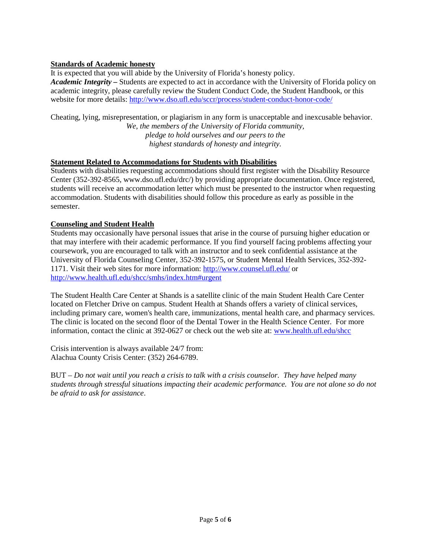# **Standards of Academic honesty**

It is expected that you will abide by the University of Florida's honesty policy. *Academic Integrity –* Students are expected to act in accordance with the University of Florida policy on academic integrity, please carefully review the Student Conduct Code, the Student Handbook, or this website for more details: <http://www.dso.ufl.edu/sccr/process/student-conduct-honor-code/>

Cheating, lying, misrepresentation, or plagiarism in any form is unacceptable and inexcusable behavior. *We, the members of the University of Florida community, pledge to hold ourselves and our peers to the highest standards of honesty and integrity.*

#### **Statement Related to Accommodations for Students with Disabilities**

Students with disabilities requesting accommodations should first register with the Disability Resource Center (352-392-8565, www.dso.ufl.edu/drc/) by providing appropriate documentation. Once registered, students will receive an accommodation letter which must be presented to the instructor when requesting accommodation. Students with disabilities should follow this procedure as early as possible in the semester.

# **Counseling and Student Health**

Students may occasionally have personal issues that arise in the course of pursuing higher education or that may interfere with their academic performance. If you find yourself facing problems affecting your coursework, you are encouraged to talk with an instructor and to seek confidential assistance at the University of Florida Counseling Center, 352-392-1575, or Student Mental Health Services, 352-392- 1171. Visit their web sites for more information:<http://www.counsel.ufl.edu/> or <http://www.health.ufl.edu/shcc/smhs/index.htm#urgent>

The Student Health Care Center at Shands is a satellite clinic of the main Student Health Care Center located on Fletcher Drive on campus. Student Health at Shands offers a variety of clinical services, including primary care, women's health care, immunizations, mental health care, and pharmacy services. The clinic is located on the second floor of the Dental Tower in the Health Science Center. For more information, contact the clinic at 392-0627 or check out the web site at: [www.health.ufl.edu/shcc](http://www.health.ufl.edu/shcc)

Crisis intervention is always available 24/7 from: Alachua County Crisis Center: (352) 264-6789.

BUT – *Do not wait until you reach a crisis to talk with a crisis counselor. They have helped many students through stressful situations impacting their academic performance. You are not alone so do not be afraid to ask for assistance*.